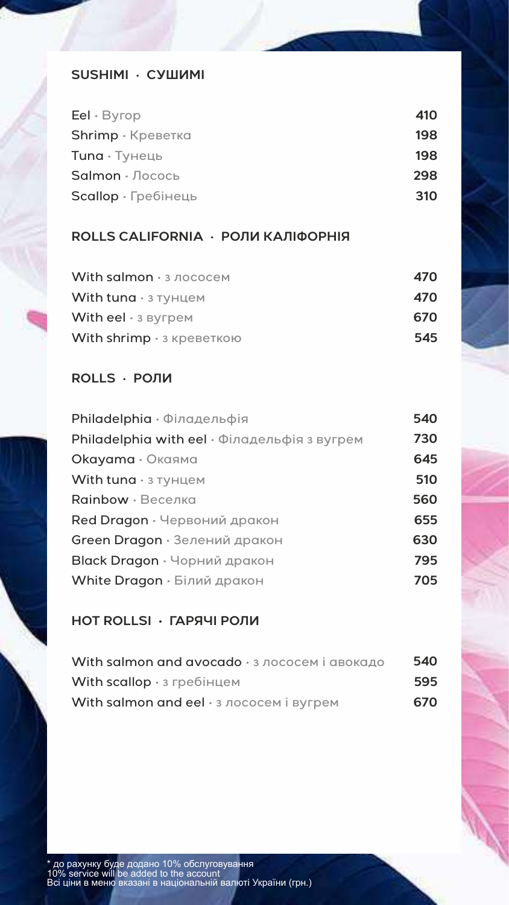#### **SUSHIMI** • **СУШИМІ**

| 410 |
|-----|
| 198 |
| 198 |
| 298 |
| 310 |
|     |

## **ROLLS CALIFORNIA** • **РОЛИ КАЛІФОРНІЯ**

| With salmon · з лососем    | 470 |
|----------------------------|-----|
| With tuna $\cdot$ 3 тунцем | 470 |
| With eel $\cdot$ 3 Byrpem  | 670 |
| With shrimp • з креветкою  | 545 |

#### **ROLLS** • **РОЛИ**

| Philadelphia • Філадельфія                   | 540 |
|----------------------------------------------|-----|
| Philadelphia with eel • Філадельфія з вугрем | 730 |
| <b>Okayama</b> • Окаяма                      | 645 |
| With tuna $\cdot$ 3 тунцем                   | 510 |
| Rainbow · Веселка                            | 560 |
| Red Dragon · Червоний дракон                 | 655 |
| Green Dragon · Зелений дракон                | 630 |
| Black Dragon · Чорний дракон                 | 795 |
| White Dragon · Білий дракон                  | 705 |
|                                              |     |

## **HOT ROLLSI • ГАРЯЧІ РОЛИ**

| With salmon and avocado · з лососем і авокадо | 540 |
|-----------------------------------------------|-----|
| With scallop $\cdot$ 3 гребінцем              | 595 |
| With salmon and eel • з лососем і вугрем      | 670 |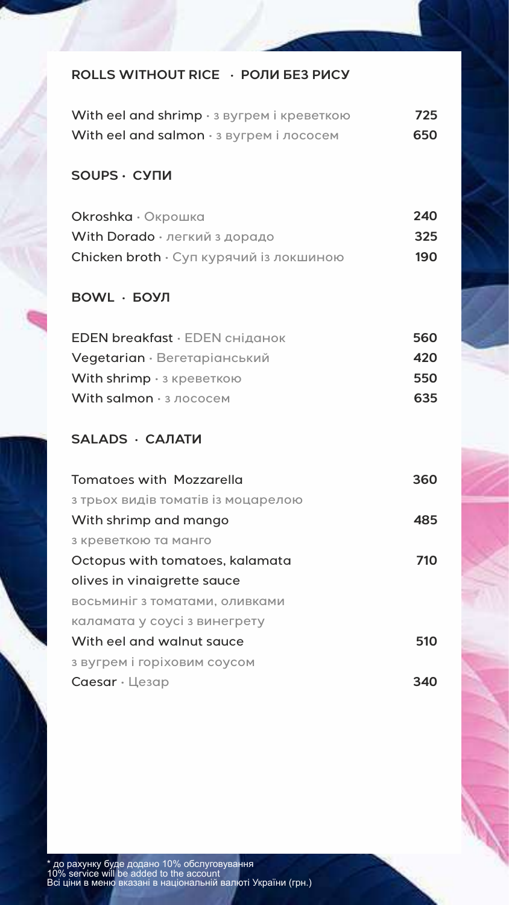## **ROLLS WITHOUT RICE** • **РОЛИ БЕЗ РИСУ**

| With eel and shrimp · з вугрем і креветкою | 725 |
|--------------------------------------------|-----|
| With eel and salmon · з вугрем і лососем   | 650 |

#### **SOUPS • СУПИ**

| Okroshka · Окрошка                      | 240 |
|-----------------------------------------|-----|
| With Dorado · легкий з дорадо           | 325 |
| Chicken broth • Суп курячий із локшиною | 190 |

# **BOWL** • **БОУЛ**

| 560 |
|-----|
| 420 |
| 550 |
| 635 |
|     |

## **SALADS** • **САЛАТИ**

| <b>Tomatoes with Mozzarella</b>    | 360 |
|------------------------------------|-----|
| з трьох видів томатів із моцарелою |     |
| With shrimp and mango              | 485 |
| з креветкою та манго               |     |
| Octopus with tomatoes, kalamata    | 710 |
| olives in vinaigrette sauce        |     |
| восьминіг з томатами, оливками     |     |
| каламата у соусі з винегрету       |     |
| With eel and walnut sauce          | 510 |
| з вугрем і горіховим соусом        |     |
| $Caesar \cdot L$ esap              |     |
|                                    |     |

 $\mathcal{N}$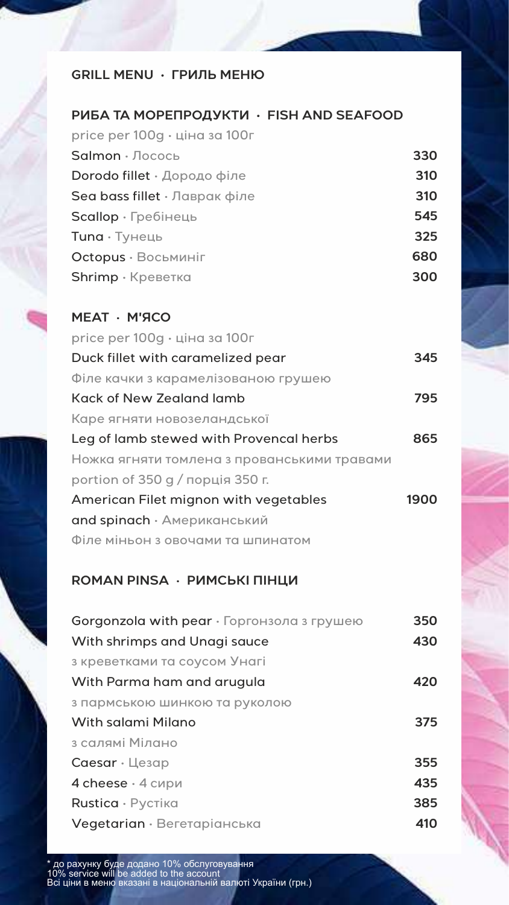## **GRILL MENU • ГРИЛЬ МЕНЮ**

#### **РИБА ТА МОРЕПРОДУКТИ • FISH AND SEAFOOD**

| Salmon · Лосось<br>Dorodo fillet • Дородо філе<br>Sea bass fillet $\cdot$ Лаврак філе<br>$Scallow \cdot$ Гребінець<br>$T$ una $\cdot$ Tyheub<br>Octopus · Восьминіг<br>$Shrimp \cdot Kp$ еветка | price per 100g · ціна за 100г |     |
|-------------------------------------------------------------------------------------------------------------------------------------------------------------------------------------------------|-------------------------------|-----|
|                                                                                                                                                                                                 |                               | 330 |
|                                                                                                                                                                                                 |                               | 310 |
|                                                                                                                                                                                                 |                               | 310 |
|                                                                                                                                                                                                 |                               | 545 |
|                                                                                                                                                                                                 |                               | 325 |
|                                                                                                                                                                                                 |                               | 680 |
|                                                                                                                                                                                                 |                               | 300 |

| MEAT · M'ACO                                |      |
|---------------------------------------------|------|
| price per 100g · ціна за 100г               |      |
| Duck fillet with caramelized pear           | 345  |
| Філе качки з карамелізованою грушею         |      |
| Kack of New Zealand lamb                    | 795  |
| Каре ягняти новозеландської                 |      |
| Leg of lamb stewed with Provencal herbs     | 865  |
| Ножка ягняти томлена з прованськими травами |      |
| portion of 350 g / порція 350 г.            |      |
| American Filet mignon with vegetables       | 1900 |
| and spinach • Американський                 |      |
| Філе міньон з овочами та шпинатом           |      |
|                                             |      |

# **ROMAN PINSA** • **РИМСЬКІ ПІНЦИ**

| Gorgonzola with $pear \cdot Topron$ зола з грушею | 350 |
|---------------------------------------------------|-----|
| With shrimps and Unagi sauce                      | 430 |
| з креветками та соусом Унагі                      |     |
| With Parma ham and arugula                        | 420 |
| з пармською шинкою та руколою                     |     |
| With salami Milano                                | 375 |
| з салямі Мілано                                   |     |
| $Caesar \cdot Le3qp$                              | 355 |
| 4 cheese · 4 сири                                 | 435 |
| Rustica · Pyctika                                 | 385 |
| Vegetarian · Вегетаріанська                       | 410 |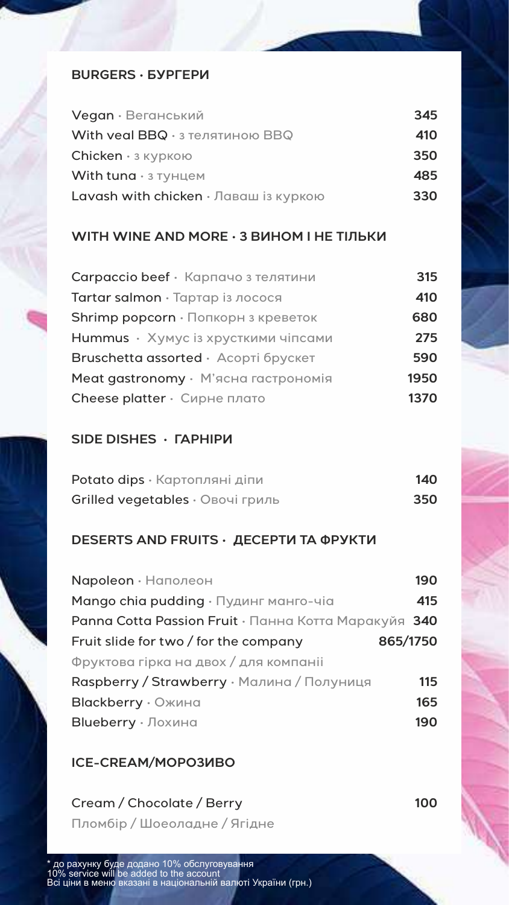#### **BURGERS • БУРГЕРИ**

| Vegan · Веганський                    | 345 |
|---------------------------------------|-----|
| With veal BBQ · з телятиною BBQ       | 410 |
| $Chicken · 3$ куркою                  | 350 |
| With tuna $\cdot$ 3 тунцем            | 485 |
| Lavash with chicken • Лаваш із куркою | 330 |

#### **WITH WINE AND MORE • З ВИНОМ І НЕ ТІЛЬКИ**

| Carpaccio beef · Карпачо з телятини  | 315  |
|--------------------------------------|------|
| Tartar salmon · Тартар із лосося     | 410  |
| Shrimp popcorn · Попкорн з креветок  | 680  |
| Hummus • Хумус із хрусткими чіпсами  | 275  |
| Bruschetta assorted · Асорті брускет | 590  |
| Meat gastronomy · М'ясна гастрономія | 1950 |
| Cheese platter • Сирне плато         | 1370 |

### **SIDE DISHES • ГАРНІРИ**

| Potato dips · Картопляні діпи    | 140 |
|----------------------------------|-----|
| Grilled vegetables · Овочі гриль | 350 |

### **DESERTS AND FRUITS • ДЕСЕРТИ ТА ФРУКТИ**

| Napoleon · Наполеон                                  | 190 |
|------------------------------------------------------|-----|
| Mango chia pudding • Пудинг манго-чіа                | 415 |
| Panna Cotta Passion Fruit • Панна Котта Маракуйя 340 |     |
| 865/1750<br>Fruit slide for two / for the company    |     |
| Фруктова гірка на двох / для компаніі                |     |
| Raspberry / Strawberry · Малина / Полуниця           | 115 |
| <b>Blackberry</b> • Ожина                            | 165 |
| Blueberry · Лохина                                   | 190 |

### **ICE-CREAM/МОРОЗИВО**

Cream / Chocolate / Berry Пломбір / Шоеоладне / Ягідне **100**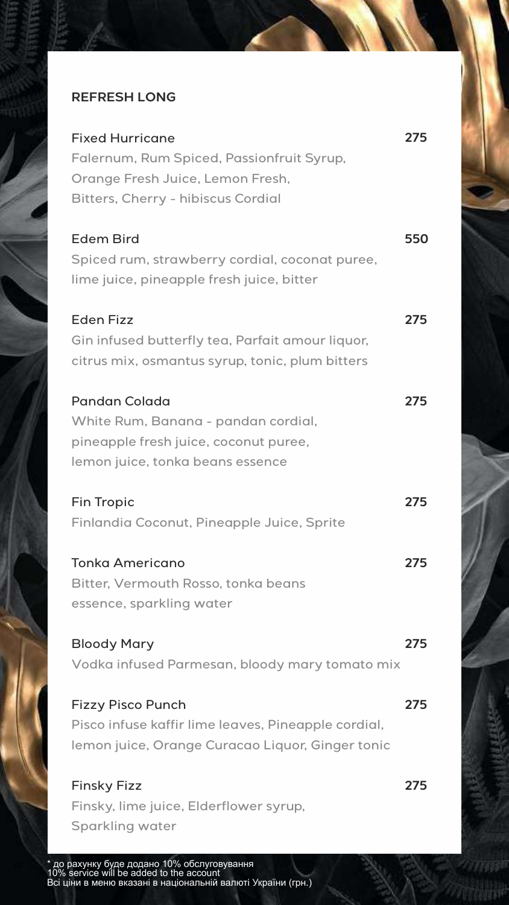## **REFRESH LONG**

| <b>Fixed Hurricane</b><br>Falernum, Rum Spiced, Passionfruit Syrup,<br>Orange Fresh Juice, Lemon Fresh,<br><b>Bitters, Cherry - hibiscus Cordial</b> | 275 |
|------------------------------------------------------------------------------------------------------------------------------------------------------|-----|
| <b>Edem Bird</b><br>Spiced rum, strawberry cordial, coconat puree,<br>lime juice, pineapple fresh juice, bitter                                      | 550 |
| <b>Eden Fizz</b><br>Gin infused butterfly tea, Parfait amour liquor,<br>citrus mix, osmantus syrup, tonic, plum bitters                              | 275 |
| <b>Pandan Colada</b><br>White Rum, Banana - pandan cordial,<br>pineapple fresh juice, coconut puree,<br>lemon juice, tonka beans essence             | 275 |
| <b>Fin Tropic</b><br>Finlandia Coconut, Pineapple Juice, Sprite                                                                                      | 275 |
| <b>Tonka Americano</b><br>Bitter, Vermouth Rosso, tonka beans<br>essence, sparkling water                                                            | 275 |
| <b>Bloody Mary</b><br>Vodka infused Parmesan, bloody mary tomato mix                                                                                 | 275 |
| <b>Fizzy Pisco Punch</b><br>Pisco infuse kaffir lime leaves, Pineapple cordial,<br>lemon juice, Orange Curacao Liquor, Ginger tonic                  | 275 |
| <b>Finsky Fizz</b><br>Finsky, lime juice, Elderflower syrup,<br><b>Sparkling water</b>                                                               | 275 |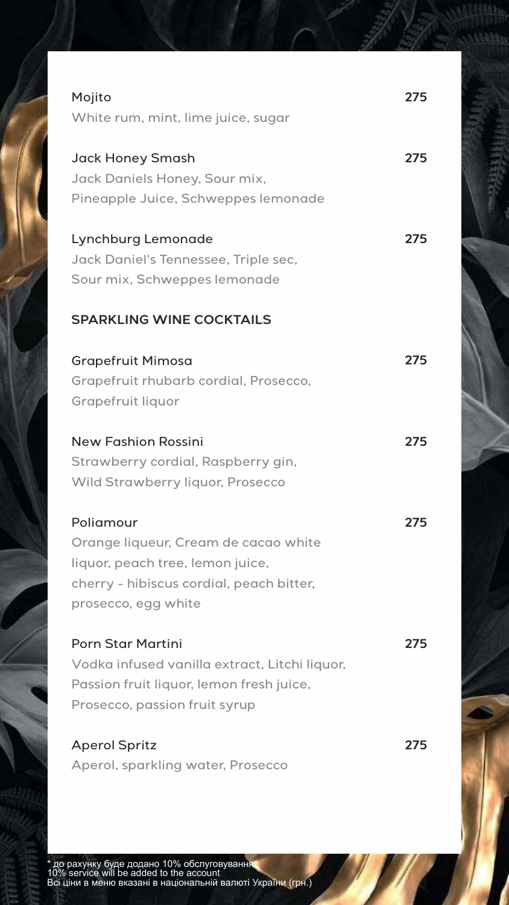| Mojito                                        | 275 |
|-----------------------------------------------|-----|
| White rum, mint, lime juice, sugar            |     |
|                                               |     |
| <b>Jack Honey Smash</b>                       | 275 |
| Jack Daniels Honey, Sour mix,                 |     |
| Pineapple Juice, Schweppes lemonade           |     |
|                                               |     |
| Lynchburg Lemonade                            | 275 |
| Jack Daniel's Tennessee, Triple sec,          |     |
| Sour mix, Schweppes lemonade                  |     |
|                                               |     |
| <b>SPARKLING WINE COCKTAILS</b>               |     |
|                                               | 275 |
| <b>Grapefruit Mimosa</b>                      |     |
| Grapefruit rhubarb cordial, Prosecco,         |     |
| <b>Grapefruit liquor</b>                      |     |
| <b>New Fashion Rossini</b>                    | 275 |
| Strawberry cordial, Raspberry gin,            |     |
| <b>Wild Strawberry liquor, Prosecco</b>       |     |
|                                               |     |
| Poliamour                                     | 275 |
| Orange liqueur, Cream de cacao white          |     |
| liquor, peach tree, lemon juice,              |     |
| cherry - hibiscus cordial, peach bitter,      |     |
| prosecco, egg white                           |     |
|                                               |     |
| <b>Porn Star Martini</b>                      | 275 |
| Vodka infused vanilla extract, Litchi liquor, |     |
| Passion fruit liquor, lemon fresh juice,      |     |
| Prosecco, passion fruit syrup                 |     |
| <b>Aperol Spritz</b>                          | 275 |
| Aperol, sparkling water, Prosecco             |     |
|                                               |     |

632332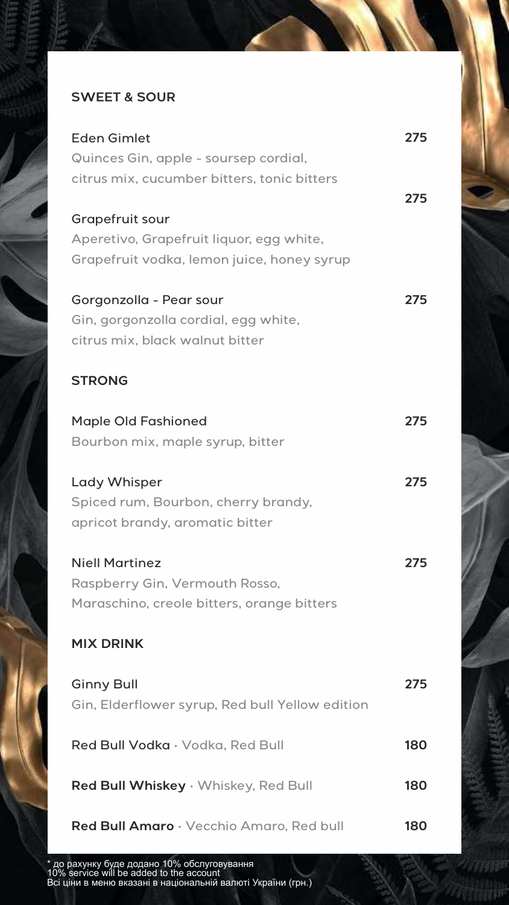## **SWEET & SOUR**

| <b>Eden Gimlet</b>                              | 275 |
|-------------------------------------------------|-----|
| Quinces Gin, apple - soursep cordial,           |     |
| citrus mix, cucumber bitters, tonic bitters     |     |
|                                                 | 275 |
| Grapefruit sour                                 |     |
| Aperetivo, Grapefruit liquor, egg white,        |     |
| Grapefruit vodka, lemon juice, honey syrup      |     |
| Gorgonzolla - Pear sour                         | 275 |
| Gin, gorgonzolla cordial, egg white,            |     |
| citrus mix, black walnut bitter                 |     |
|                                                 |     |
| <b>STRONG</b>                                   |     |
| <b>Maple Old Fashioned</b>                      | 275 |
| Bourbon mix, maple syrup, bitter                |     |
|                                                 |     |
| Lady Whisper                                    | 275 |
| Spiced rum, Bourbon, cherry brandy,             |     |
| apricot brandy, aromatic bitter                 |     |
| <b>Niell Martinez</b>                           | 275 |
| Raspberry Gin, Vermouth Rosso,                  |     |
| Maraschino, creole bitters, orange bitters      |     |
|                                                 |     |
| <b>MIX DRINK</b>                                |     |
| <b>Ginny Bull</b>                               | 275 |
| Gin, Elderflower syrup, Red bull Yellow edition |     |
|                                                 |     |
| Red Bull Vodka · Vodka, Red Bull                | 180 |
|                                                 |     |
| Red Bull Whiskey · Whiskey, Red Bull            | 180 |
| Red Bull Amaro · Vecchio Amaro, Red bull        | 180 |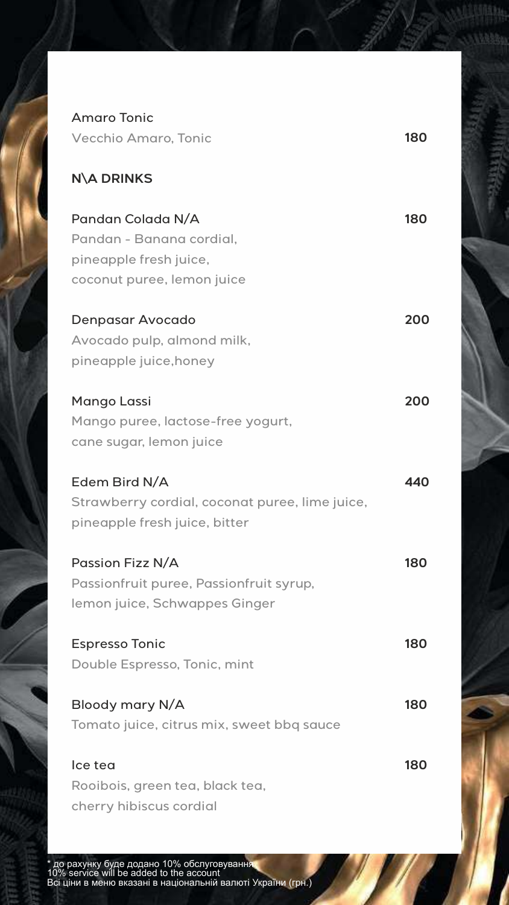| <b>Amaro Tonic</b>                                                                                    |     |
|-------------------------------------------------------------------------------------------------------|-----|
| <b>Vecchio Amaro, Tonic</b>                                                                           | 180 |
| <b>N\A DRINKS</b>                                                                                     |     |
| Pandan Colada N/A<br>Pandan - Banana cordial,<br>pineapple fresh juice,<br>coconut puree, lemon juice | 180 |
| Denpasar Avocado<br>Avocado pulp, almond milk,<br>pineapple juice, honey                              | 200 |
| Mango Lassi<br>Mango puree, lactose-free yogurt,<br>cane sugar, lemon juice                           | 200 |
| Edem Bird N/A<br>Strawberry cordial, coconat puree, lime juice,<br>pineapple fresh juice, bitter      | 440 |
| Passion Fizz N/A<br>Passionfruit puree, Passionfruit syrup,<br>lemon juice, Schwappes Ginger          | 180 |
| <b>Espresso Tonic</b><br>Double Espresso, Tonic, mint                                                 | 180 |
| Bloody mary N/A<br>Tomato juice, citrus mix, sweet bbq sauce                                          | 180 |
| Ice tea<br>Rooibois, green tea, black tea,                                                            | 180 |

cherry hibiscus cordial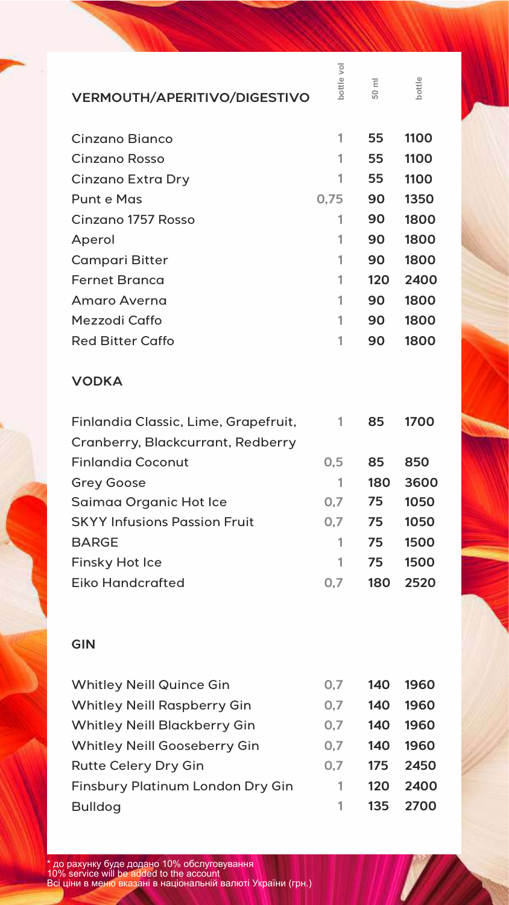| <b>VERMOUTH/APERITIVO/DIGESTIVO</b>                           | bottle vo | $\overline{\Xi}$<br>50 | bottle |
|---------------------------------------------------------------|-----------|------------------------|--------|
| Cinzano Bianco                                                | 1         | 55                     | 1100   |
| Cinzano Rosso                                                 | 1         | 55                     | 1100   |
| Cinzano Extra Dry                                             | 1         | 55                     | 1100   |
| <b>Punt e Mas</b>                                             | 0,75      | 90                     | 1350   |
| Cinzano 1757 Rosso                                            | 1         | 90                     | 1800   |
| Aperol                                                        | 1         | 90                     | 1800   |
| <b>Campari Bitter</b>                                         | 1         | 90                     | 1800   |
| <b>Fernet Branca</b>                                          | 1         | 120                    | 2400   |
| Amaro Averna                                                  | 1         | 90                     | 1800   |
| Mezzodi Caffo                                                 | 1         | 90                     | 1800   |
| <b>Red Bitter Caffo</b>                                       | 1         | 90                     | 1800   |
| <b>VODKA</b>                                                  |           |                        |        |
| Finlandia Classic, Lime, Grapefruit,                          | 1         | 85                     | 1700   |
| Cranberry, Blackcurrant, Redberry<br><b>Finlandia Coconut</b> | 0,5       | 85                     | 850    |
| <b>Grey Goose</b>                                             | 1         | 180                    | 3600   |
| Saimaa Organic Hot Ice                                        | 0,7       | 75                     | 1050   |
| <b>SKYY Infusions Passion Fruit</b>                           | 0,7       | 75                     | 1050   |
| <b>BARGE</b>                                                  | 1         | 75                     | 1500   |
| <b>Finsky Hot Ice</b>                                         | 1         | 75                     | 1500   |
| <b>Eiko Handcrafted</b>                                       | 0,7       | 180                    | 2520   |
| <b>GIN</b>                                                    |           |                        |        |
| <b>Whitley Neill Quince Gin</b>                               | 0,7       | 140                    | 1960   |
| <b>Whitley Neill Raspberry Gin</b>                            | 0,7       | 140                    | 1960   |
| <b>Whitley Neill Blackberry Gin</b>                           | 0,7       | 140                    | 1960   |
| <b>Whitley Neill Gooseberry Gin</b>                           | 0,7       | 140                    | 1960   |
| <b>Rutte Celery Dry Gin</b>                                   | 0,7       | 175                    | 2450   |
| <b>Finsbury Platinum London Dry Gin</b>                       | 1         | 120                    | 2400   |
| <b>Bulldog</b>                                                | 1         | 135                    | 2700   |
|                                                               |           |                        |        |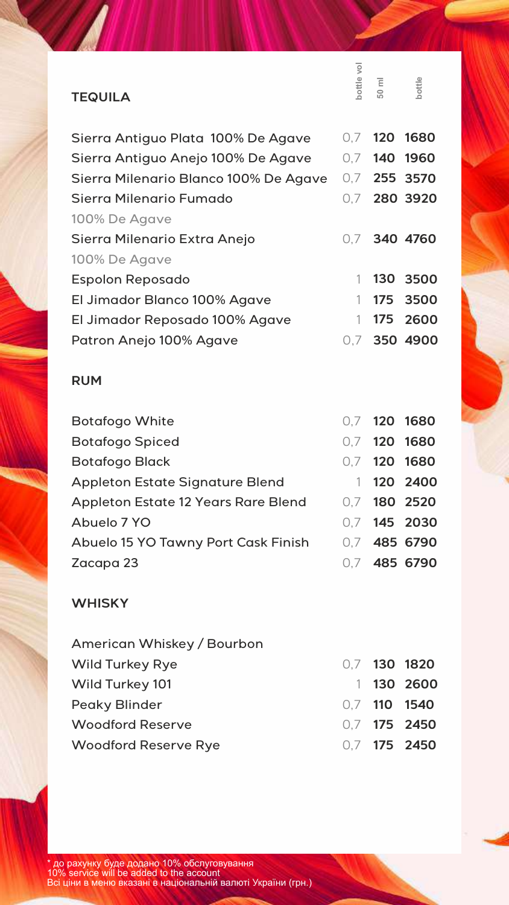| <b>TEQUILA</b>                         | bottle vol | $50 \text{ ml}$ | bottle       |
|----------------------------------------|------------|-----------------|--------------|
|                                        |            |                 |              |
| Sierra Antiguo Plata 100% De Agave     | 0,7        | 120             | 1680         |
| Sierra Antiguo Anejo 100% De Agave     | 0,7        | 140             | 1960         |
| Sierra Milenario Blanco 100% De Agave  |            |                 | 0.7 255 3570 |
| Sierra Milenario Fumado                |            |                 | 0.7 280 3920 |
| 100% De Agave                          |            |                 |              |
| Sierra Milenario Extra Anejo           | 0.7        |                 | 340 4760     |
| 100% De Agave                          |            |                 |              |
| <b>Espolon Reposado</b>                | 1          |                 | 130 3500     |
| El Jimador Blanco 100% Agave           | 1          | 175             | 3500         |
| El Jimador Reposado 100% Agave         | 1          | 175             | 2600         |
| Patron Anejo 100% Agave                | 0.7        |                 | 350 4900     |
|                                        |            |                 |              |
| <b>RUM</b>                             |            |                 |              |
| <b>Botafogo White</b>                  |            | $0.7$ 120       | 1680         |
| <b>Botafogo Spiced</b>                 |            | $0.7$ 120       | 1680         |
| <b>Botafogo Black</b>                  |            |                 | 0.7 120 1680 |
| <b>Appleton Estate Signature Blend</b> | 1          | 120             | 2400         |
| Appleton Estate 12 Years Rare Blend    | 0,7        | 180             | 2520         |
| Abuelo 7 YO                            | 0,7        | 145             | 2030         |
| Abuelo 15 YO Tawny Port Cask Finish    | 0,7        |                 | 485 6790     |
| Zacapa 23                              |            |                 | 0.7 485 6790 |
| <b>WHISKY</b>                          |            |                 |              |
| American Whiskey / Bourbon             |            |                 |              |
| <b>Wild Turkey Rye</b>                 |            |                 | 0.7 130 1820 |
| Wild Turkey 101                        | 1          | 130             | 2600         |
| <b>Peaky Blinder</b>                   |            | $0.7$ 110       | 1540         |
| <b>Woodford Reserve</b>                |            | $0.7$ 175       | 2450         |
| <b>Woodford Reserve Rye</b>            |            | $0.7$ 175       | 2450         |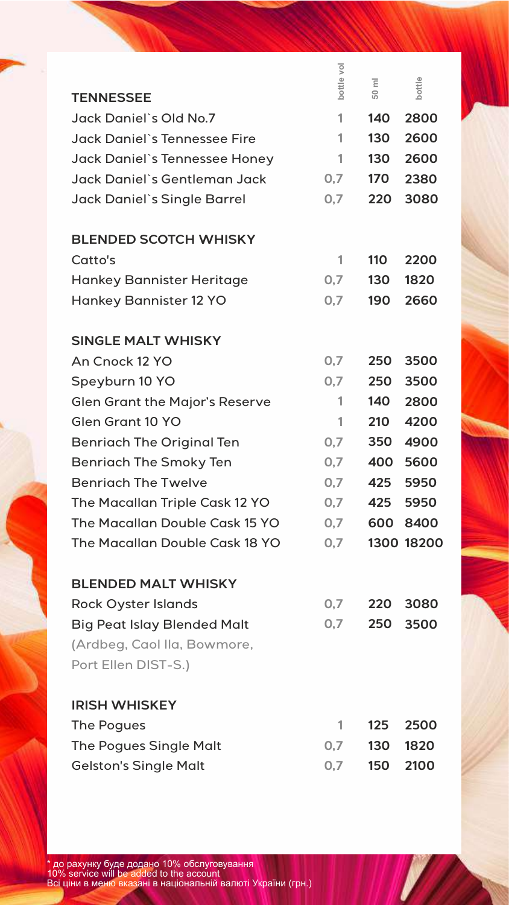| bottle vol<br>bottle<br>$\overline{\Xi}$<br>50<br><b>TENNESSEE</b><br>Jack Daniel's Old No.7<br>1<br>140<br>2800<br><b>Jack Daniel's Tennessee Fire</b><br>130<br>2600<br>1<br>130<br>2600<br>1<br>Jack Daniel's Tennessee Honey<br>Jack Daniel`s Gentleman Jack<br>0,7<br>170<br>2380<br>Jack Daniel's Single Barrel<br>0,7<br>220<br>3080<br><b>BLENDED SCOTCH WHISKY</b><br>Catto's<br>110<br>2200<br>1<br>0,7<br>130<br>1820<br><b>Hankey Bannister Heritage</b><br>190<br><b>Hankey Bannister 12 YO</b><br>0,7<br>2660 |
|-----------------------------------------------------------------------------------------------------------------------------------------------------------------------------------------------------------------------------------------------------------------------------------------------------------------------------------------------------------------------------------------------------------------------------------------------------------------------------------------------------------------------------|
|                                                                                                                                                                                                                                                                                                                                                                                                                                                                                                                             |
|                                                                                                                                                                                                                                                                                                                                                                                                                                                                                                                             |
|                                                                                                                                                                                                                                                                                                                                                                                                                                                                                                                             |
|                                                                                                                                                                                                                                                                                                                                                                                                                                                                                                                             |
|                                                                                                                                                                                                                                                                                                                                                                                                                                                                                                                             |
|                                                                                                                                                                                                                                                                                                                                                                                                                                                                                                                             |
|                                                                                                                                                                                                                                                                                                                                                                                                                                                                                                                             |
|                                                                                                                                                                                                                                                                                                                                                                                                                                                                                                                             |
|                                                                                                                                                                                                                                                                                                                                                                                                                                                                                                                             |
|                                                                                                                                                                                                                                                                                                                                                                                                                                                                                                                             |
|                                                                                                                                                                                                                                                                                                                                                                                                                                                                                                                             |
|                                                                                                                                                                                                                                                                                                                                                                                                                                                                                                                             |
| <b>SINGLE MALT WHISKY</b>                                                                                                                                                                                                                                                                                                                                                                                                                                                                                                   |
| 0,7<br>An Cnock 12 YO<br>250<br>3500                                                                                                                                                                                                                                                                                                                                                                                                                                                                                        |
| 0,7<br>250<br>3500<br>Speyburn 10 YO                                                                                                                                                                                                                                                                                                                                                                                                                                                                                        |
| <b>Glen Grant the Major's Reserve</b><br>140<br>2800<br>1                                                                                                                                                                                                                                                                                                                                                                                                                                                                   |
| Glen Grant 10 YO<br>210<br>4200<br>1                                                                                                                                                                                                                                                                                                                                                                                                                                                                                        |
| 0,7<br>350<br>4900<br><b>Benriach The Original Ten</b>                                                                                                                                                                                                                                                                                                                                                                                                                                                                      |
| <b>Benriach The Smoky Ten</b><br>0,7<br>400<br>5600                                                                                                                                                                                                                                                                                                                                                                                                                                                                         |
| <b>Benrigch The Twelve</b><br>0,7<br>425<br>5950                                                                                                                                                                                                                                                                                                                                                                                                                                                                            |
| 425<br>The Macallan Triple Cask 12 YO<br>0,7<br>5950                                                                                                                                                                                                                                                                                                                                                                                                                                                                        |
| 600<br>The Macallan Double Cask 15 YO<br>0,7<br>8400                                                                                                                                                                                                                                                                                                                                                                                                                                                                        |
| 1300 18200<br>The Macallan Double Cask 18 YO<br>0,7                                                                                                                                                                                                                                                                                                                                                                                                                                                                         |
|                                                                                                                                                                                                                                                                                                                                                                                                                                                                                                                             |
| <b>BLENDED MALT WHISKY</b>                                                                                                                                                                                                                                                                                                                                                                                                                                                                                                  |
| <b>Rock Oyster Islands</b><br>0,7<br>220<br>3080                                                                                                                                                                                                                                                                                                                                                                                                                                                                            |
| <b>Big Peat Islay Blended Malt</b><br>0,7<br>250<br>3500                                                                                                                                                                                                                                                                                                                                                                                                                                                                    |
| (Ardbeg, Caol Ila, Bowmore,                                                                                                                                                                                                                                                                                                                                                                                                                                                                                                 |
| Port Ellen DIST-S.)                                                                                                                                                                                                                                                                                                                                                                                                                                                                                                         |
| <b>IRISH WHISKEY</b>                                                                                                                                                                                                                                                                                                                                                                                                                                                                                                        |
| 125<br>1<br>2500<br>The Pogues                                                                                                                                                                                                                                                                                                                                                                                                                                                                                              |
| 0,7<br>130<br>1820<br><b>The Pogues Single Malt</b>                                                                                                                                                                                                                                                                                                                                                                                                                                                                         |
| 2100<br>0,7<br>150<br><b>Gelston's Single Malt</b>                                                                                                                                                                                                                                                                                                                                                                                                                                                                          |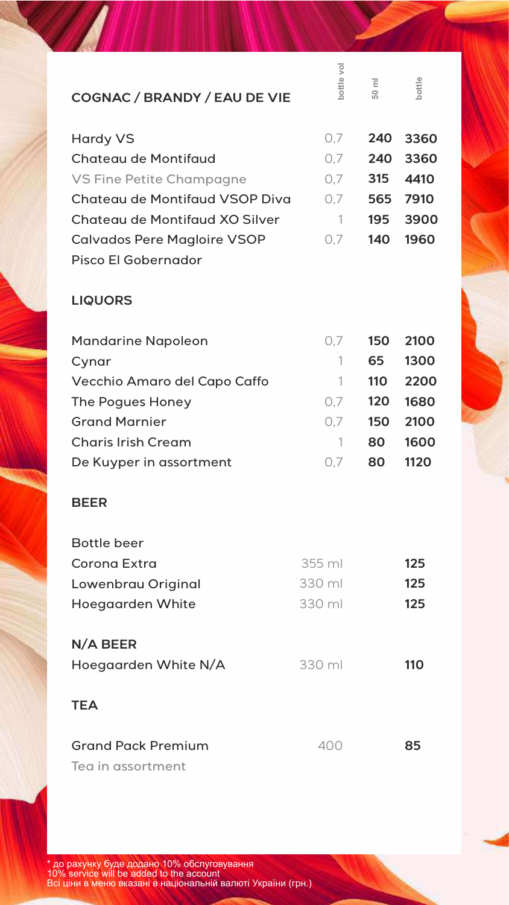| <b>COGNAC / BRANDY / EAU DE VIE</b>            | bottle vol   | $\overline{\Xi}$<br>$\overline{50}$ | bottle |
|------------------------------------------------|--------------|-------------------------------------|--------|
| <b>Hardy VS</b>                                | 0,7          | 240                                 | 3360   |
| <b>Chateau de Montifaud</b>                    | 0,7          | 240                                 | 3360   |
| VS Fine Petite Champagne                       | 0,7          | 315                                 | 4410   |
| Chateau de Montifaud VSOP Diva                 | 0,7          | 565                                 | 7910   |
| Chateau de Montifaud XO Silver                 | $\mathbf{1}$ | 195                                 | 3900   |
| <b>Calvados Pere Magloire VSOP</b>             | 0,7          | 140                                 | 1960   |
| Pisco El Gobernador                            |              |                                     |        |
| <b>LIQUORS</b>                                 |              |                                     |        |
| <b>Mandarine Napoleon</b>                      | 0,7          | 150                                 | 2100   |
| Cynar                                          | 1            | 65                                  | 1300   |
| Vecchio Amaro del Capo Caffo                   | 1.           | 110                                 | 2200   |
| The Pogues Honey                               | 0.7          | 120                                 | 1680   |
| <b>Grand Marnier</b>                           | 0,7          | 150                                 | 2100   |
| <b>Charis Irish Cream</b>                      | 1            | 80                                  | 1600   |
| De Kuyper in assortment                        | 0,7          | 80                                  | 1120   |
| <b>BEER</b>                                    |              |                                     |        |
| <b>Bottle beer</b>                             |              |                                     |        |
| Corona Extra                                   | 355 ml       |                                     | 125    |
| Lowenbrau Original                             | 330 ml       |                                     | 125    |
| Hoegaarden White                               | 330 ml       |                                     | 125    |
| N/A BEER                                       |              |                                     |        |
| Hoegaarden White N/A                           | 330 ml       |                                     | 110    |
| <b>TEA</b>                                     |              |                                     |        |
| <b>Grand Pack Premium</b><br>Tea in assortment | 400          |                                     | 85     |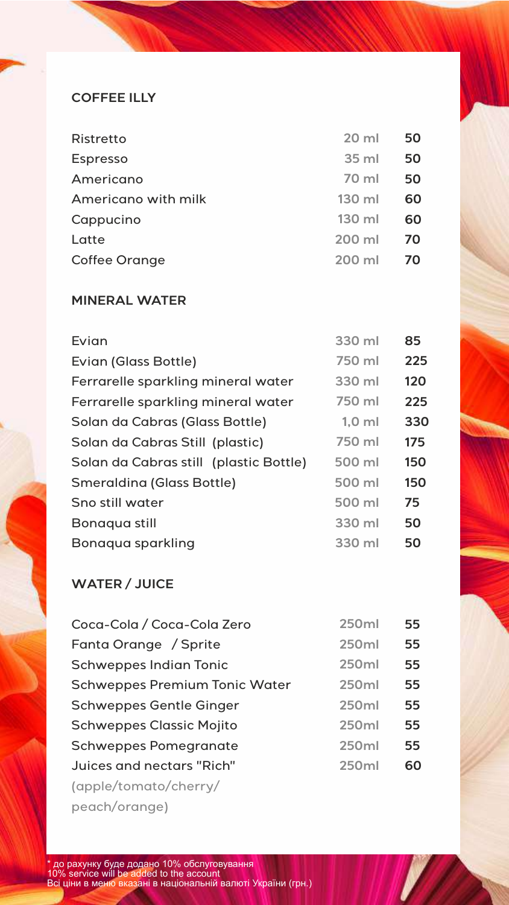## **COFFEE ILLY**

| <b>Ristretto</b>     | 20 ml  | 50 |
|----------------------|--------|----|
| <b>Espresso</b>      | 35 ml  | 50 |
| Americano            | 70 ml  | 50 |
| Americano with milk  | 130 ml | 60 |
| Cappucino            | 130 ml | 60 |
| Latte                | 200 ml | 70 |
| <b>Coffee Orange</b> | 200 ml | 70 |
|                      |        |    |

# **MINERAL WATER**

| Evian                                  | 330 ml   | 85  |
|----------------------------------------|----------|-----|
| Evian (Glass Bottle)                   | 750 ml   | 225 |
| Ferrarelle sparkling mineral water     | 330 ml   | 120 |
| Ferrarelle sparkling mineral water     | 750 ml   | 225 |
| Solan da Cabras (Glass Bottle)         | $1,0$ ml | 330 |
| Solan da Cabras Still (plastic)        | 750 ml   | 175 |
| Solan da Cabras still (plastic Bottle) | 500 ml   | 150 |
| <b>Smeraldina (Glass Bottle)</b>       | 500 ml   | 150 |
| Sno still water                        | 500 ml   | 75  |
| Bonaqua still                          | 330 ml   | 50  |
| Bonaqua sparkling                      | 330 ml   | 50  |
|                                        |          |     |

# **WATER / JUICE**

| Coca-Cola / Coca-Cola Zero           | 250ml        | 55 |
|--------------------------------------|--------------|----|
| Fanta Orange / Sprite                | 250ml        | 55 |
| <b>Schweppes Indian Tonic</b>        | 250ml        | 55 |
| <b>Schweppes Premium Tonic Water</b> | <b>250ml</b> | 55 |
| <b>Schweppes Gentle Ginger</b>       | 250ml        | 55 |
| <b>Schweppes Classic Mojito</b>      | <b>250ml</b> | 55 |
| <b>Schweppes Pomegranate</b>         | 250ml        | 55 |
| Juices and nectars "Rich"            | 250ml        | 60 |
| (apple/tomato/cherry/                |              |    |
| peach/orange)                        |              |    |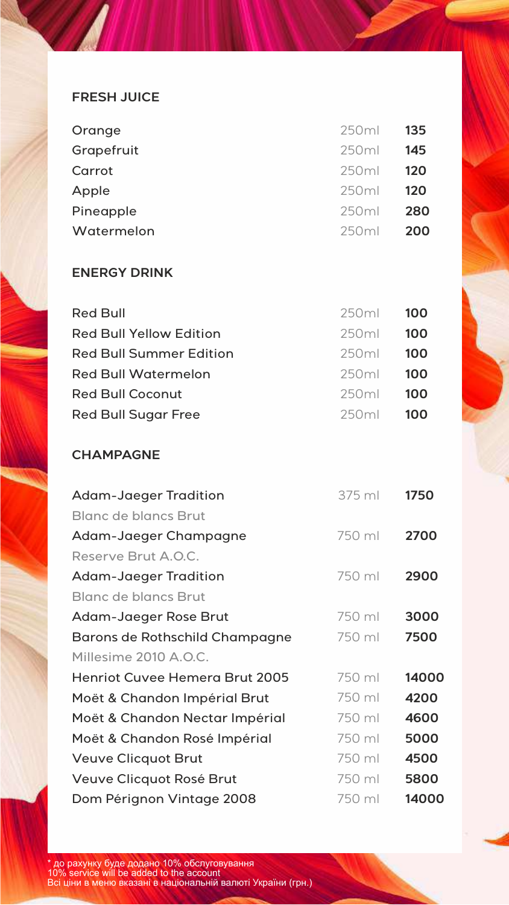#### **FRESH JUICE**

| Orange     | 250ml             | -135 |
|------------|-------------------|------|
| Grapefruit | 250ml             | 145  |
| Carrot     | 250ml             | 120  |
| Apple      | 250 <sub>ml</sub> | 120  |
| Pineapple  | 250 <sub>ml</sub> | 280  |
| Watermelon | 250ml             | 200  |

### **ENERGY DRINK**

| <b>100</b> |
|------------|
| 100        |
| 100        |
| 100        |
| 100        |
| 100        |
|            |

## **CHAMPAGNE**

| <b>Adam-Jaeger Tradition</b>          | 375 ml | 1750  |
|---------------------------------------|--------|-------|
| <b>Blanc de blancs Brut</b>           |        |       |
| Adam-Jaeger Champagne                 | 750 ml | 2700  |
| Reserve Brut A.O.C.                   |        |       |
| <b>Adam-Jaeger Tradition</b>          | 750 ml | 2900  |
| <b>Blanc de blancs Brut</b>           |        |       |
| Adam-Jaeger Rose Brut                 | 750 ml | 3000  |
| Barons de Rothschild Champagne        | 750 ml | 7500  |
| Millesime 2010 A.O.C.                 |        |       |
| <b>Henriot Cuvee Hemera Brut 2005</b> | 750 ml | 14000 |
| Moët & Chandon Impérial Brut          | 750 ml | 4200  |
| Moët & Chandon Nectar Impérial        | 750 ml | 4600  |
| Moët & Chandon Rosé Impérial          | 750 ml | 5000  |
| <b>Veuve Clicquot Brut</b>            | 750 ml | 4500  |
| Veuve Clicquot Rosé Brut              | 750 ml | 5800  |
| Dom Pérignon Vintage 2008             | 750 ml | 14000 |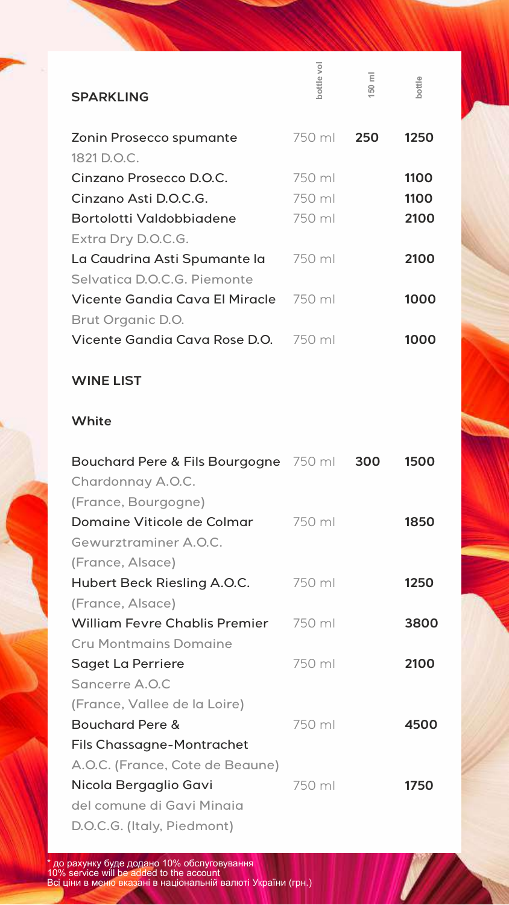| <b>SPARKLING</b>                                           | bottle vol | Ξ<br>50 | bottle |
|------------------------------------------------------------|------------|---------|--------|
| Zonin Prosecco spumante                                    | 750 ml     | 250     | 1250   |
| 1821 D.O.C.                                                |            |         |        |
| Cinzano Prosecco D.O.C.                                    | 750 ml     |         | 1100   |
| Cinzano Asti D.O.C.G.                                      | 750 ml     |         | 1100   |
| Bortolotti Valdobbiadene                                   | 750 ml     |         | 2100   |
| Extra Dry D.O.C.G.                                         |            |         |        |
| La Caudrina Asti Spumante la                               | 750 ml     |         | 2100   |
| Selvatica D.O.C.G. Piemonte                                |            |         |        |
| Vicente Gandia Cava El Miracle                             | 750 ml     |         | 1000   |
| Brut Organic D.O.                                          |            |         |        |
| Vicente Gandia Cava Rose D.O.                              | 750 ml     |         | 1000   |
| <b>WINE LIST</b>                                           |            |         |        |
| White                                                      |            |         |        |
| Bouchard Pere & Fils Bourgogne 750 ml<br>Chardonnay A.O.C. |            | 300     | 1500   |
| (France, Bourgogne)                                        |            |         |        |
| Domaine Viticole de Colmar                                 | 750 ml     |         | 1850   |
| Gewurztraminer A.O.C.                                      |            |         |        |
| (France, Alsace)                                           |            |         |        |
| Hubert Beck Riesling A.O.C.                                | 750 ml     |         | 1250   |
| (France, Alsace)                                           |            |         |        |
| <b>William Fevre Chablis Premier</b>                       | 750 ml     |         | 3800   |
| <b>Cru Montmains Domaine</b>                               |            |         |        |
| Saget La Perriere                                          | 750 ml     |         | 2100   |
| Sancerre A.O.C                                             |            |         |        |
| (France, Vallee de la Loire)                               |            |         |        |
| <b>Bouchard Pere &amp;</b>                                 | 750 ml     |         | 4500   |
| <b>Fils Chassagne-Montrachet</b>                           |            |         |        |
| A.O.C. (France, Cote de Beaune)                            |            |         |        |
| Nicola Bergaglio Gavi                                      | 750 ml     |         | 1750   |
| del comune di Gavi Minaia                                  |            |         |        |
| D.O.C.G. (Italy, Piedmont)                                 |            |         |        |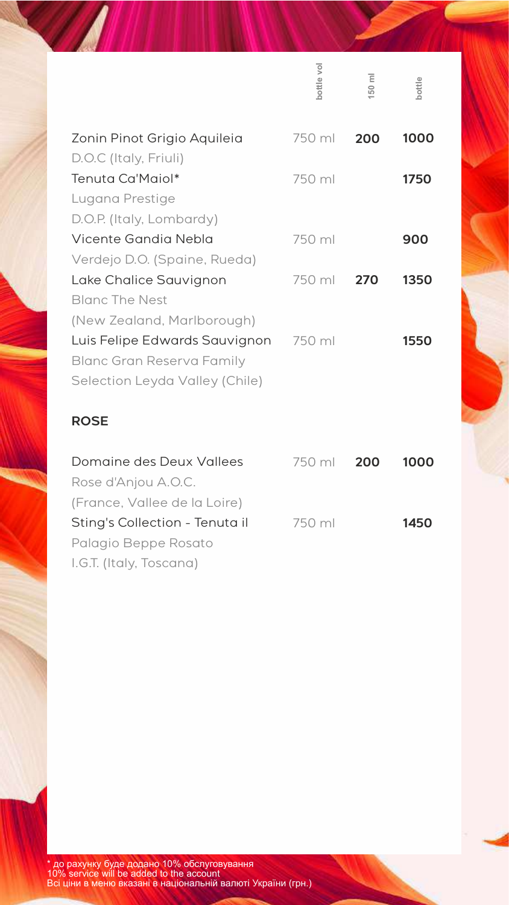|                                | bottle vol | 50 ml | bottle |
|--------------------------------|------------|-------|--------|
| Zonin Pinot Grigio Aquileia    | 750 ml     | 200   | 1000   |
| D.O.C (Italy, Friuli)          |            |       |        |
| Tenuta Ca'Maiol*               | 750 ml     |       | 1750   |
| Lugana Prestige                |            |       |        |
| D.O.P. (Italy, Lombardy)       |            |       |        |
| Vicente Gandia Nebla           | 750 ml     |       | 900    |
| Verdejo D.O. (Spaine, Rueda)   |            |       |        |
| Lake Chalice Sauvignon         | 750 ml     | 270   | 1350   |
| <b>Blanc The Nest</b>          |            |       |        |
| (New Zealand, Marlborough)     |            |       |        |
| Luis Felipe Edwards Sauvignon  | 750 ml     |       | 1550   |
| Blanc Gran Reserva Family      |            |       |        |
| Selection Leyda Valley (Chile) |            |       |        |
| <b>ROSE</b>                    |            |       |        |
| Domaine des Deux Vallees       | 750 ml     | 200   | 1000   |
| Rose d'Anjou A.O.C.            |            |       |        |
| (France, Vallee de la Loire)   |            |       |        |
| Sting's Collection - Tenuta il | 750 ml     |       | 1450   |
| Palagio Beppe Rosato           |            |       |        |

I.G.T. (Italy, Toscana)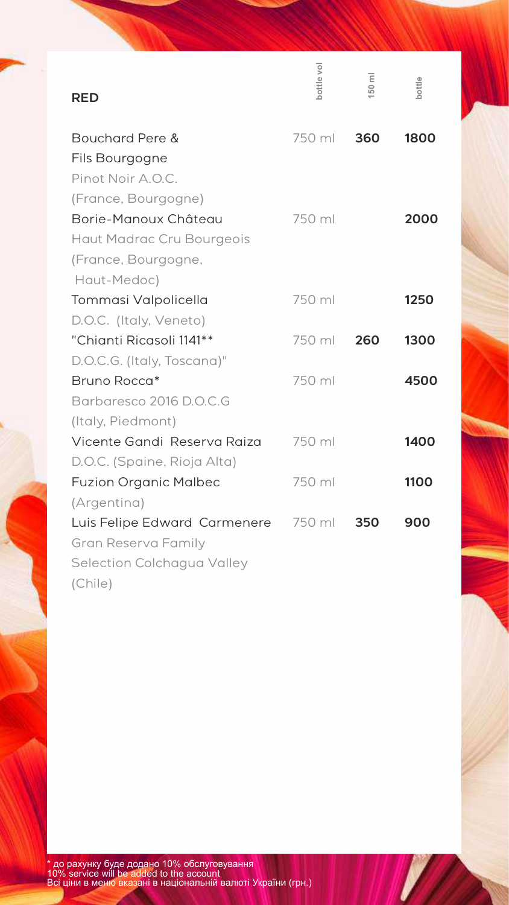|                              | bottle vol | $\overline{\Xi}$<br>50 | bottle |
|------------------------------|------------|------------------------|--------|
| <b>RED</b>                   |            |                        |        |
| Bouchard Pere &              | 750 ml     | 360                    | 1800   |
| Fils Bourgogne               |            |                        |        |
| Pinot Noir A.O.C.            |            |                        |        |
| (France, Bourgogne)          |            |                        |        |
| Borie-Manoux Château         | 750 ml     |                        | 2000   |
| Haut Madrac Cru Bourgeois    |            |                        |        |
| (France, Bourgogne,          |            |                        |        |
| Haut-Medoc)                  |            |                        |        |
| Tommasi Valpolicella         | 750 ml     |                        | 1250   |
| D.O.C. (Italy, Veneto)       |            |                        |        |
| "Chianti Ricasoli 1141**     | 750 ml     | 260                    | 1300   |
| D.O.C.G. (Italy, Toscana)"   |            |                        |        |
| Bruno Rocca*                 | 750 ml     |                        | 4500   |
| Barbaresco 2016 D.O.C.G      |            |                        |        |
| (Italy, Piedmont)            |            |                        |        |
| Vicente Gandi Reserva Raiza  | 750 ml     |                        | 1400   |
| D.O.C. (Spaine, Rioja Alta)  |            |                        |        |
| <b>Fuzion Organic Malbec</b> | 750 ml     |                        | 1100   |
| (Argentina)                  |            |                        |        |
| Luis Felipe Edward Carmenere | 750 ml     | 350                    | 900    |
| Gran Reserva Family          |            |                        |        |
| Selection Colchagua Valley   |            |                        |        |
| (Chile)                      |            |                        |        |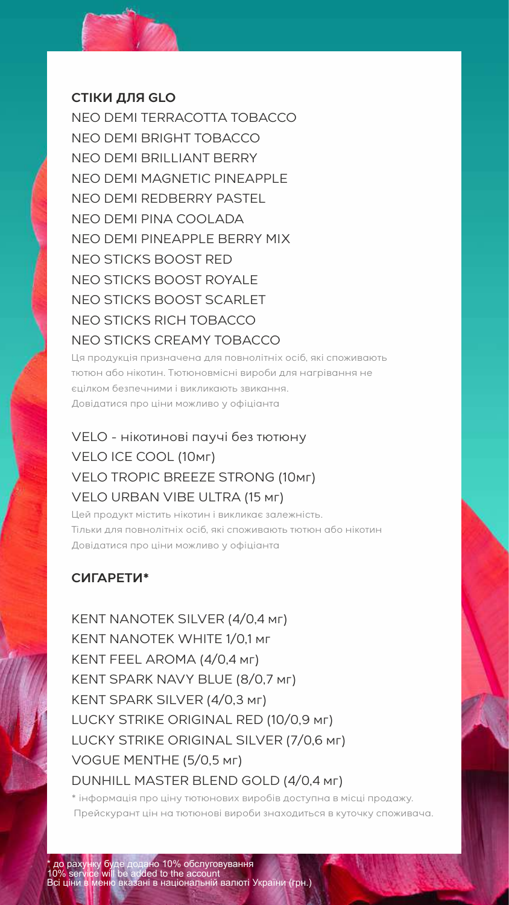#### **СТІКИ ДЛЯ GLO**

NEO DEMI TERRACOTTA TOBACCO NEO DEMI BRIGHT TOBACCO NEO DEMI BRILLIANT BERRY NEO DEMI MAGNETIC PINEAPPLE NEO DEMI REDBERRY PASTEL NEO DEMI PINA COOLADA NEO DEMI PINEAPPLE BERRY MIX NEO STICKS BOOST RED NEO STICKS BOOST ROYALE NEO STICKS BOOST SCARLET NEO STICKS RICH TOBACCO NEO STICKS CREAMY TOBACCO

Ця продукція призначена для повнолітніх осіб, які споживають тютюн або нікотин. Тютюновмісні вироби для нагрівання не єцілком безпечними і викликають звикання. Довідатися про ціни можливо у офіціанта

# VELO - нікотинові паучі без тютюну VELO ICE COOL (10мг) VELO TROPIC BREEZE STRONG (10мг) VELO URBAN VIBE ULTRA (15 мг)

Цей продукт містить нікотин і викликає залежність. Тільки для повнолітніх осіб, які споживають тютюн або нікотин Довідатися про ціни можливо у офіціанта

# **СИГАРЕТИ\***

KENT NANOTEK SILVER (4/0,4 мг) KENT NANOTEK WHITE 1/0,1 мг KENT FEEL AROMA (4/0,4 мг) KENT SPARK NAVY BLUE (8/0,7 мг) KENT SPARK SILVER (4/0,3 мг) LUCKY STRIKE ORIGINAL RED (10/0,9 мг) LUCKY STRIKE ORIGINAL SILVER (7/0,6 мг) VOGUE MENTHE (5/0,5 мг) DUNHILL MASTER BLEND GOLD (4/0,4 мг)

\* інформація про ціну тютюнових виробів доступна в місці продажу. Прейскурант цін на тютюнові вироби знаходиться в куточку споживача.